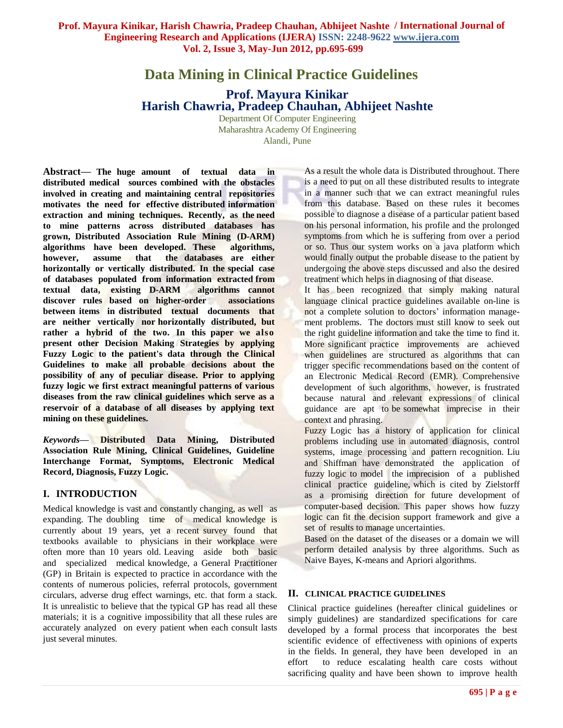# **Data Mining in Clinical Practice Guidelines**

**Prof. Mayura Kinikar**

**Harish Chawria, Pradeep Chauhan, Abhijeet Nashte**

Department Of Computer Engineering Maharashtra Academy Of Engineering Alandi, Pune

**Abstract— The huge amount of textual data in distributed medical sources combined with the obstacles involved in creating and maintaining central repositories motivates the need for effective distributed information extraction and mining techniques. Recently, as the need to mine patterns across distributed databases has grown, Distributed Association Rule Mining (D-ARM) algorithms have been developed. These algorithms, however, assume that the databases are either horizontally or vertically distributed. In the special case of databases populated from information extracted from textual data, existing D-ARM algorithms cannot discover rules based on higher-order associations between items in distributed textual documents that are neither vertically nor horizontally distributed, but rather a hybrid of the two. In this paper we also present other Decision Making Strategies by applying Fuzzy Logic to the patient's data through the Clinical Guidelines to make all probable decisions about the possibility of any of peculiar disease. Prior to applying fuzzy logic we first extract meaningful patterns of various diseases from the raw clinical guidelines which serve as a reservoir of a database of all diseases by applying text mining on these guidelines.**

*Keywords***— Distributed Data Mining, Distributed Association Rule Mining, Clinical Guidelines, Guideline Interchange Format, Symptoms, Electronic Medical Record, Diagnosis, Fuzzy Logic.**

# **I. INTRODUCTION**

Medical knowledge is vast and constantly changing, as well as expanding. The doubling time of medical knowledge is currently about 19 years, yet a recent survey found that textbooks available to physicians in their workplace were often more than 10 years old. Leaving aside both basic and specialized medical knowledge, a General Practitioner (GP) in Britain is expected to practice in accordance with the contents of numerous policies, referral protocols, government circulars, adverse drug effect warnings, etc. that form a stack. It is unrealistic to believe that the typical GP has read all these materials; it is a cognitive impossibility that all these rules are accurately analyzed on every patient when each consult lasts just several minutes.

As a result the whole data is Distributed throughout. There is a need to put on all these distributed results to integrate in a manner such that we can extract meaningful rules from this database. Based on these rules it becomes possible to diagnose a disease of a particular patient based on his personal information, his profile and the prolonged symptoms from which he is suffering from over a period or so. Thus our system works on a java platform which would finally output the probable disease to the patient by undergoing the above steps discussed and also the desired treatment which helps in diagnosing of that disease.

It has been recognized that simply making natural language clinical practice guidelines available on-line is not a complete solution to doctors' information management problems. The doctors must still know to seek out the right guideline information and take the time to find it. More significant practice improvements are achieved when guidelines are structured as algorithms that can trigger specific recommendations based on the content of an Electronic Medical Record (EMR). Comprehensive development of such algorithms, however, is frustrated because natural and relevant expressions of clinical guidance are apt to be somewhat imprecise in their context and phrasing.

Fuzzy Logic has a history of application for clinical problems including use in automated diagnosis, control systems, image processing and pattern recognition. Liu and Shiffman have demonstrated the application of fuzzy logic to model the imprecision of a published clinical practice guideline, which is cited by Zielstorff as a promising direction for future development of computer-based decision. This paper shows how fuzzy logic can fit the decision support framework and give a set of results to manage uncertainties.

Based on the dataset of the diseases or a domain we will perform detailed analysis by three algorithms. Such as Naive Bayes, K-means and Apriori algorithms.

# **II. CLINICAL PRACTICE GUIDELINES**

Clinical practice guidelines (hereafter clinical guidelines or simply guidelines) are standardized specifications for care developed by a formal process that incorporates the best scientific evidence of effectiveness with opinions of experts in the fields. In general, they have been developed in an effort to reduce escalating health care costs without sacrificing quality and have been shown to improve health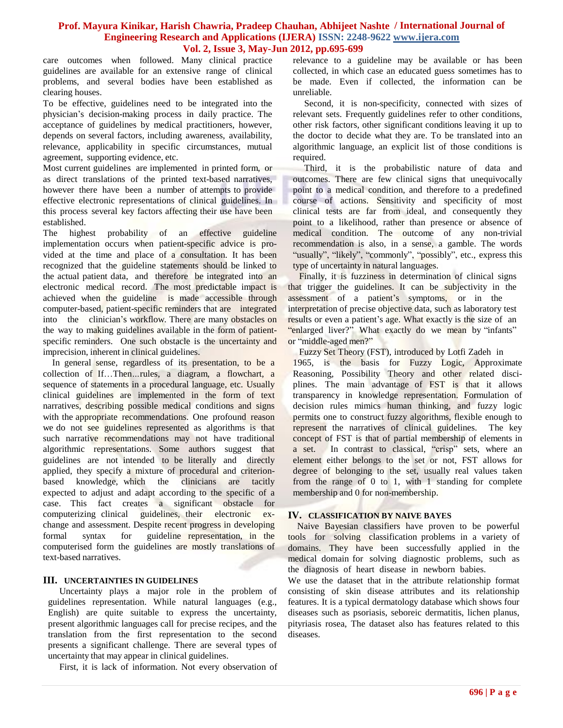care outcomes when followed. Many clinical practice guidelines are available for an extensive range of clinical problems, and several bodies have been established as clearing houses.

To be effective, guidelines need to be integrated into the physician's decision-making process in daily practice. The acceptance of guidelines by medical practitioners, however, depends on several factors, including awareness, availability, relevance, applicability in specific circumstances, mutual agreement, supporting evidence, etc.

Most current guidelines are implemented in printed form, or as direct translations of the printed text-based narratives, however there have been a number of attempts to provide effective electronic representations of clinical guidelines. In this process several key factors affecting their use have been established.

The highest probability of an effective guideline implementation occurs when patient-specific advice is provided at the time and place of a consultation. It has been recognized that the guideline statements should be linked to the actual patient data, and therefore be integrated into an electronic medical record. The most predictable impact is achieved when the guideline is made accessible through computer-based, patient-specific reminders that are integrated into the clinician's workflow. There are many obstacles on the way to making guidelines available in the form of patientspecific reminders. One such obstacle is the uncertainty and imprecision, inherent in clinical guidelines.

In general sense, regardless of its presentation, to be a collection of If…Then*…*rules, a diagram, a flowchart, a sequence of statements in a procedural language, etc. Usually clinical guidelines are implemented in the form of text narratives, describing possible medical conditions and signs with the appropriate recommendations. One profound reason we do not see guidelines represented as algorithms is that such narrative recommendations may not have traditional algorithmic representations. Some authors suggest that guidelines are not intended to be literally and directly applied, they specify a mixture of procedural and criterionbased knowledge, which the clinicians are tacitly expected to adjust and adapt according to the specific of a case. This fact creates a significant obstacle for computerizing clinical guidelines, their electronic exchange and assessment. Despite recent progress in developing formal syntax for guideline representation, in the computerised form the guidelines are mostly translations of text-based narratives.

### **III. UNCERTAINTIES IN GUIDELINES**

Uncertainty plays a major role in the problem of guidelines representation. While natural languages (e.g., English) are quite suitable to express the uncertainty, present algorithmic languages call for precise recipes, and the translation from the first representation to the second presents a significant challenge. There are several types of uncertainty that may appear in clinical guidelines.

First, it is lack of information. Not every observation of

relevance to a guideline may be available or has been collected, in which case an educated guess sometimes has to be made. Even if collected, the information can be unreliable.

Second, it is non-specificity, connected with sizes of relevant sets. Frequently guidelines refer to other conditions, other risk factors, other significant conditions leaving it up to the doctor to decide what they are. To be translated into an algorithmic language, an explicit list of those conditions is required.

Third, it is the probabilistic nature of data and outcomes. There are few clinical signs that unequivocally point to a medical condition, and therefore to a predefined course of actions. Sensitivity and specificity of most clinical tests are far from ideal, and consequently they point to a likelihood, rather than presence or absence of medical condition. The outcome of any non-trivial recommendation is also, in a sense, a gamble. The words "usually", "likely", "commonly", "possibly", etc., express this type of uncertainty in natural languages.

Finally, it is fuzziness in determination of clinical signs that trigger the guidelines. It can be subjectivity in the assessment of a patient's symptoms, or in the interpretation of precise objective data, such as laboratory test results or even a patient's age. What exactly is the size of an "enlarged liver?" What exactly do we mean by "infants" or "middle-aged men?"

Fuzzy Set Theory (FST), introduced by Lotfi Zadeh in

1965, is the basis for Fuzzy Logic, Approximate Reasoning, Possibility Theory and other related disciplines. The main advantage of FST is that it allows transparency in knowledge representation. Formulation of decision rules mimics human thinking, and fuzzy logic permits one to construct fuzzy algorithms, flexible enough to represent the narratives of clinical guidelines. The key concept of FST is that of partial membership of elements in a set. In contrast to classical, "crisp" sets, where an element either belongs to the set or not, FST allows for degree of belonging to the set, usually real values taken from the range of 0 to 1, with 1 standing for complete membership and 0 for non-membership.

### **IV. CLASSIFICATION BY NAIVE BAYES**

Naive Bayesian classifiers have proven to be powerful tools for solving classification problems in a variety of domains. They have been successfully applied in the medical domain for solving diagnostic problems, such as the diagnosis of heart disease in newborn babies.

We use the dataset that in the attribute relationship format consisting of skin disease attributes and its relationship features. It is a typical dermatology database which shows four diseases such as psoriasis, seboreic dermatitis, lichen planus, pityriasis rosea, The dataset also has features related to this diseases.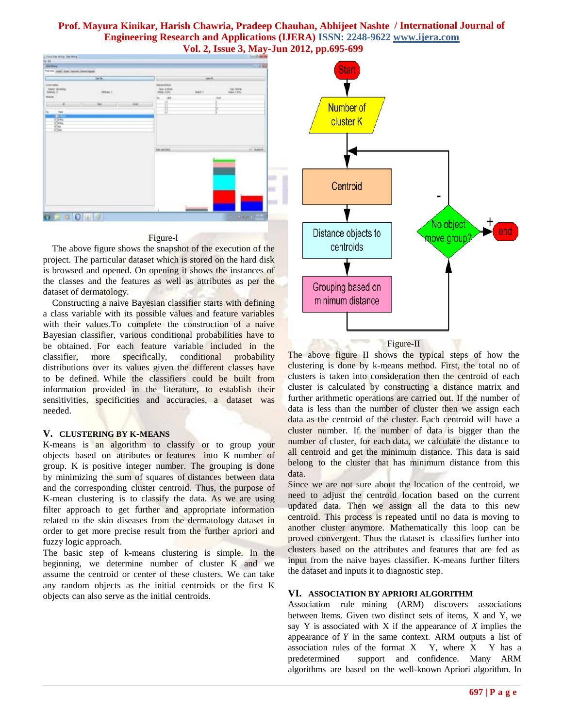

#### Figure-I

The above figure shows the snapshot of the execution of the project. The particular dataset which is stored on the hard disk is browsed and opened. On opening it shows the instances of the classes and the features as well as attributes as per the dataset of dermatology.

Constructing a naive Bayesian classifier starts with defining a class variable with its possible values and feature variables with their values. To complete the construction of a naive Bayesian classifier, various conditional probabilities have to be obtained. For each feature variable included in the classifier, more specifically, conditional probability distributions over its values given the different classes have to be defined. While the classifiers could be built from information provided in the literature, to establish their sensitivities, specificities and accuracies, a dataset was needed.

### **V. CLUSTERING BY K-MEANS**

K-means is an algorithm to classify or to group your objects based on attributes or features into K number of group. K is positive integer number. The grouping is done by minimizing the sum of squares of distances between data and the corresponding cluster centroid. Thus, the purpose of K-mean clustering is to classify the data. As we are using filter approach to get further and appropriate information related to the skin diseases from the dermatology dataset in order to get more precise result from the further apriori and fuzzy logic approach.

The basic step of k-means clustering is simple. In the beginning, we determine number of cluster K and we assume the centroid or center of these clusters. We can take any random objects as the initial centroids or the first K objects can also serve as the initial centroids.



#### Figure-II

The above figure II shows the typical steps of how the clustering is done by k-means method. First, the total no of clusters is taken into consideration then the centroid of each cluster is calculated by constructing a distance matrix and further arithmetic operations are carried out. If the number of data is less than the number of cluster then we assign each data as the centroid of the cluster. Each centroid will have a cluster number. If the number of data is bigger than the number of cluster, for each data, we calculate the distance to all centroid and get the minimum distance. This data is said belong to the cluster that has minimum distance from this data.

Since we are not sure about the location of the centroid, we need to adjust the centroid location based on the current updated data. Then we assign all the data to this new centroid. This process is repeated until no data is moving to another cluster anymore. Mathematically this loop can be proved convergent. Thus the dataset is classifies further into clusters based on the attributes and features that are fed as input from the naive bayes classifier. K-means further filters the dataset and inputs it to diagnostic step.

### **VI. ASSOCIATION BY APRIORI ALGORITHM**

Association rule mining (ARM) discovers associations between Items. Given two distinct sets of items, X and Y, we say Y is associated with X if the appearance of *X* implies the appearance of *Y* in the same context. ARM outputs a list of association rules of the format X Y, where XY has a predetermined support and confidence. Many ARM algorithms are based on the well-known Apriori algorithm. In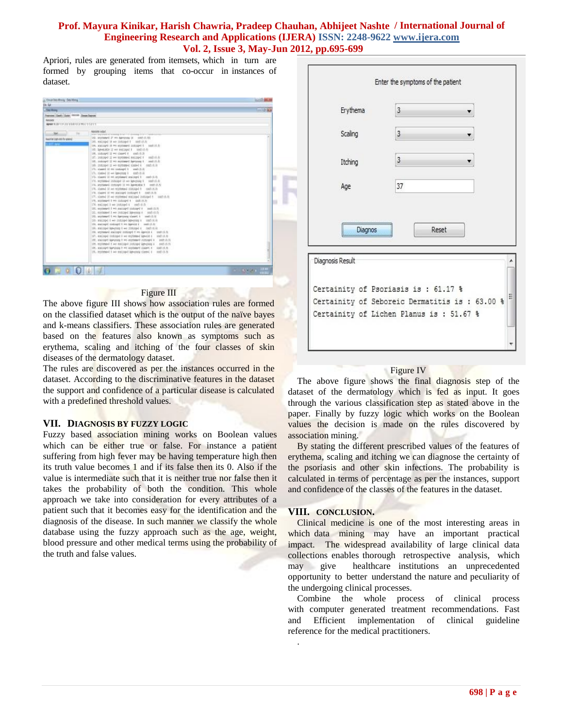Apriori, rules are generated from itemsets, which in turn are formed by grouping items that co-occur in instances of dataset.

| De Sa                                       |                                                                                                                                         |                   |
|---------------------------------------------|-----------------------------------------------------------------------------------------------------------------------------------------|-------------------|
| <b>On Hory</b>                              |                                                                                                                                         | <b>Lin TO-M2</b>  |
| <b>Newsler Gents Date: ANYON Department</b> |                                                                                                                                         |                   |
| Ansolds                                     |                                                                                                                                         |                   |
| ARRESTS MARTIN COLLECTED WAS STRIP TO       |                                                                                                                                         |                   |
|                                             | AMANEW HATCH!                                                                                                                           |                   |
| <b>Hel</b>                                  |                                                                                                                                         |                   |
| head let thes don't's return!               | 182. Attributed 21 min Agencyang 14  confi 21.151<br>IAS, wallings? IN nor lithings? 2  apply 15.81                                     |                   |
|                                             | 196, and 16292 18 995 additioned instituted 2. Audit 18.21.                                                                             |                   |
|                                             | 143. Adventurily 12 nov postinged 8  and citate                                                                                         |                   |
|                                             | 161. HiltsbyT II we class I = mail 0.31                                                                                                 |                   |
|                                             | 107; Intelnet II ass' environment mailinged # modivities<br>15. Industry & partyred Depressed for U Department . 151                    |                   |
|                                             | 100-Indiana II as entimated claims & londist. W-                                                                                        |                   |
|                                             | 15. stared 11 en instinged 1 mail (6.1)                                                                                                 |                   |
|                                             | ITL Stated II see knowning b controlled                                                                                                 |                   |
|                                             | 112. classed 18 not anythmand analoged 1 = control. 411                                                                                 |                   |
|                                             | 171. ssytMand Initiated II wo keeping 1 2021/11/11<br>116. argitamani stotorano il non Aganesitta il construttutti                      |                   |
|                                             | ITL Gased II as eighboard inhight 5 000116.30                                                                                           |                   |
|                                             | the channel of two-states are as if freaser . FO                                                                                        |                   |
|                                             | 177, slated 18 no exchemed waitinged instinged 8 = confron.b)                                                                           |                   |
|                                             | 175, acutionard 2 year skillaged 4 - module.91                                                                                          |                   |
|                                             | 176. scalings) it we inclined 4 confi this component<br>ICC, estimated 2 we assistant the 2 Degman 2021                                 |                   |
|                                             | 101. ATTOLOGI E we INSIDE MOVING A TELEVISION                                                                                           |                   |
|                                             | 10. arctioned 1 we have an about 1 mail (1.1)                                                                                           |                   |
|                                             | 100. WHILMPS E we cruting a showcome a comfront in                                                                                      |                   |
|                                             | 101. sealinged conteaged it wen against a constrainty                                                                                   |                   |
|                                             | 195. scalinged honeytons it was finalized 4. doutlink by a control<br>Util, arythmand scalinged instanced 4 not againlik a construction |                   |
|                                             | 187. BINCINER TERRINAL I was explosined directed in  (402) 18-76.                                                                       |                   |
|                                             | 1951; enailstant Agencycles it was exprimently received 4 and to the                                                                    |                   |
|                                             | DR. erythmand i sor exclippet initiated Appenhong 4 . southern in                                                                       |                   |
|                                             | THE AVAILABLE RANGING F. MIL ASSESSMENT CLASSES A  VORTLULTS.                                                                           |                   |
|                                             | US, represent I we entirely agreement classes a conductive                                                                              |                   |
|                                             |                                                                                                                                         |                   |
|                                             |                                                                                                                                         |                   |
|                                             | $\Omega$ +                                                                                                                              | <b>CONTRACTOR</b> |

### Figure III

The above figure III shows how association rules are formed on the classified dataset which is the output of the naïve bayes and k-means classifiers. These association rules are generated based on the features also known as symptoms such as erythema, scaling and itching of the four classes of skin diseases of the dermatology dataset.

The rules are discovered as per the instances occurred in the dataset. According to the discriminative features in the dataset the support and confidence of a particular disease is calculated with a predefined threshold values.

### **VII. DIAGNOSIS BY FUZZY LOGIC**

Fuzzy based association mining works on Boolean values which can be either true or false. For instance a patient suffering from high fever may be having temperature high then its truth value becomes 1 and if its false then its 0. Also if the value is intermediate such that it is neither true nor false then it takes the probability of both the condition. This whole approach we take into consideration for every attributes of a patient such that it becomes easy for the identification and the diagnosis of the disease. In such manner we classify the whole database using the fuzzy approach such as the age, weight, blood pressure and other medical terms using the probability of the truth and false values.

| Erythema                    | 3                                   |   |
|-----------------------------|-------------------------------------|---|
| Scaling                     | 3                                   |   |
| Itching                     | 3                                   |   |
| Age                         | 37                                  |   |
|                             |                                     |   |
| Diagnos<br>Diagnosis Result | Reset                               |   |
|                             | Certainity of Psoriasis is: 61.17 % | Ξ |
|                             |                                     |   |

### Figure IV

The above figure shows the final diagnosis step of the dataset of the dermatology which is fed as input. It goes through the various classification step as stated above in the paper. Finally by fuzzy logic which works on the Boolean values the decision is made on the rules discovered by association mining.

By stating the different prescribed values of the features of erythema, scaling and itching we can diagnose the certainty of the psoriasis and other skin infections. The probability is calculated in terms of percentage as per the instances, support and confidence of the classes of the features in the dataset.

### **VIII. CONCLUSION.**

.

Clinical medicine is one of the most interesting areas in which data mining may have an important practical impact. The widespread availability of large clinical data collections enables thorough retrospective analysis, which may give healthcare institutions an unprecedented opportunity to better understand the nature and peculiarity of the undergoing clinical processes.

Combine the whole process of clinical process with computer generated treatment recommendations. Fast and Efficient implementation of clinical guideline reference for the medical practitioners.